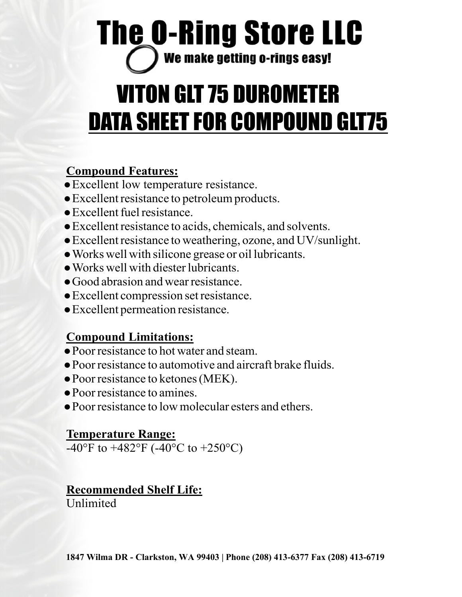## **The O-Ring Store LLC** We make getting o-rings easy!

# VITON GLT 75 DUROMETER DATA SHEET FOR COMPOUND GLT75

#### **Compound Features:**

- ●Excellent low temperature resistance.
- ●Excellent resistance to petroleum products.
- ●Excellent fuel resistance.
- ●Excellent resistance to acids, chemicals, and solvents.
- ●Excellent resistance to weathering, ozone, and UV/sunlight.
- ●Works well with silicone grease or oil lubricants.
- ●Works well with diester lubricants.
- ●Good abrasion and wear resistance.
- ●Excellent compression set resistance.
- ●Excellent permeation resistance.

#### **Compound Limitations:**

- ●Poor resistance to hot water and steam.
- ●Poor resistance to automotive and aircraft brake fluids.
- ●Poor resistance to ketones (MEK).
- ●Poor resistance to amines.
- Poor resistance to low molecular esters and ethers.

#### **Temperature Range:**

-40°F to  $+482$ °F (-40°C to  $+250$ °C)

#### **Recommended Shelf Life:**

**Unlimited**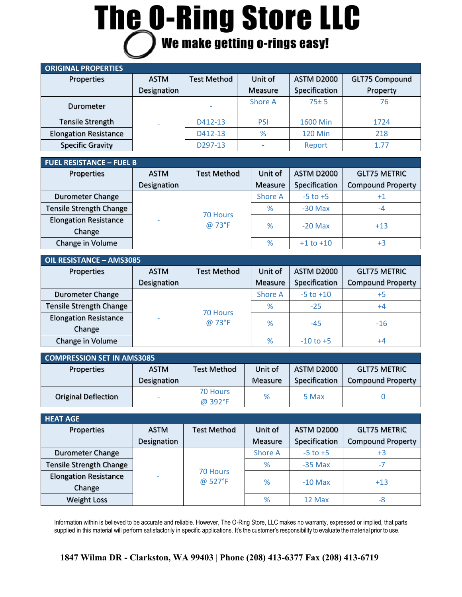# **The O-Ring Store LLC**<br> *O* We make getting o-rings easy!

| <b>ORIGINAL PROPERTIES</b>   |             |                      |            |                   |                       |
|------------------------------|-------------|----------------------|------------|-------------------|-----------------------|
| Properties                   | <b>ASTM</b> | <b>Test Method</b>   | Unit of    | <b>ASTM D2000</b> | <b>GLT75 Compound</b> |
|                              | Designation |                      | Measure    | Specification     | Property              |
| Durometer                    |             |                      | Shore A    | $75 + 5$          | 76                    |
| <b>Tensile Strength</b>      |             | D412-13              | <b>PSI</b> | 1600 Min          | 1724                  |
| <b>Elongation Resistance</b> |             | D412-13              | %          | <b>120 Min</b>    | 218                   |
| <b>Specific Gravity</b>      |             | D <sub>297</sub> -13 |            | Report            | 1.77                  |

| <b>FUEL RESISTANCE - FUEL B</b> |             |                           |         |                   |                          |  |
|---------------------------------|-------------|---------------------------|---------|-------------------|--------------------------|--|
| Properties                      | <b>ASTM</b> | <b>Test Method</b>        | Unit of | <b>ASTM D2000</b> | <b>GLT75 METRIC</b>      |  |
|                                 | Designation |                           | Measure | Specification     | <b>Compound Property</b> |  |
| <b>Durometer Change</b>         |             |                           | Shore A | $-5$ to $+5$      | $+1$                     |  |
| <b>Tensile Strength Change</b>  |             |                           | %       | $-30$ Max         | $-4$                     |  |
| <b>Elongation Resistance</b>    |             | <b>70 Hours</b><br>@ 73°F | %       | $-20$ Max         | $+13$                    |  |
| Change                          |             |                           |         |                   |                          |  |
| Change in Volume                |             |                           | %       | $+1$ to $+10$     | $+3$                     |  |

| OIL RESISTANCE - AMS3085       |             |                    |                |                   |                          |  |
|--------------------------------|-------------|--------------------|----------------|-------------------|--------------------------|--|
| Properties                     | <b>ASTM</b> | <b>Test Method</b> | Unit of        | <b>ASTM D2000</b> | <b>GLT75 METRIC</b>      |  |
|                                | Designation |                    | Measure        | Specification     | <b>Compound Property</b> |  |
| <b>Durometer Change</b>        |             |                    | <b>Shore A</b> | $-5$ to $+10$     | +5                       |  |
| <b>Tensile Strength Change</b> |             |                    | %              | $-25$             | $+4$                     |  |
| <b>Elongation Resistance</b>   |             | 70 Hours<br>@ 73°F | %              | $-45$             | $-16$                    |  |
| Change                         |             |                    |                |                   |                          |  |
| Change in Volume               |             |                    | %              | $-10$ to $+5$     | +4                       |  |

| <b>COMPRESSION SET IN AMS3085</b> |             |                     |         |               |                          |  |  |
|-----------------------------------|-------------|---------------------|---------|---------------|--------------------------|--|--|
| Properties                        | <b>ASTM</b> | <b>Test Method</b>  | Unit of | ASTM D2000    | <b>GLT75 METRIC</b>      |  |  |
|                                   | Designation |                     | Measure | Specification | <b>Compound Property</b> |  |  |
| <b>Original Deflection</b>        |             | 70 Hours<br>@ 392°F | %       | 5 Max         |                          |  |  |

| <b>HEAT AGE</b>                |             |                     |                |                   |                          |  |
|--------------------------------|-------------|---------------------|----------------|-------------------|--------------------------|--|
| Properties                     | <b>ASTM</b> | <b>Test Method</b>  | Unit of        | <b>ASTM D2000</b> | <b>GLT75 METRIC</b>      |  |
|                                | Designation |                     | <b>Measure</b> | Specification     | <b>Compound Property</b> |  |
| <b>Durometer Change</b>        |             |                     | <b>Shore A</b> | $-5$ to $+5$      | +3                       |  |
| <b>Tensile Strength Change</b> |             |                     | %<br>$-35$ Max |                   | $-7$                     |  |
| <b>Elongation Resistance</b>   |             | 70 Hours<br>@ 527°F | %              |                   | $+13$                    |  |
| Change                         |             |                     |                | $-10$ Max         |                          |  |
| <b>Weight Loss</b>             |             |                     | %              | 12 Max            | -8                       |  |

Information within is believed to be accurate and reliable. However, The O-Ring Store, LLC makes no warranty, expressed or implied, that parts supplied in this material will perform satisfactorily in specific applications. It's the customer's responsibility to evaluate the material prior to use.